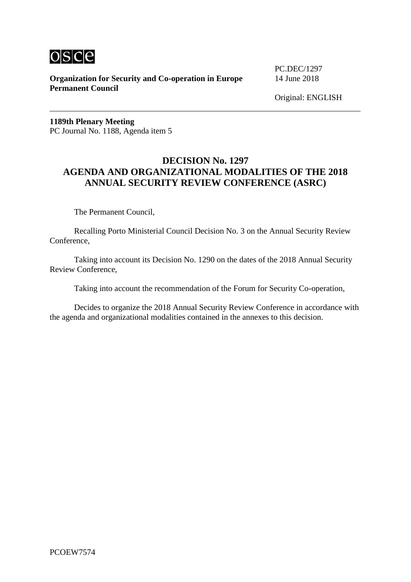

**Organization for Security and Co-operation in Europe** 14 June 2018 **Permanent Council**

PC.DEC/1297

**1189th Plenary Meeting** PC Journal No. 1188, Agenda item 5

# **DECISION No. 1297 AGENDA AND ORGANIZATIONAL MODALITIES OF THE 2018 ANNUAL SECURITY REVIEW CONFERENCE (ASRC)**

The Permanent Council,

Recalling Porto Ministerial Council Decision No. 3 on the Annual Security Review Conference,

Taking into account its Decision No. 1290 on the dates of the 2018 Annual Security Review Conference,

Taking into account the recommendation of the Forum for Security Co-operation,

Decides to organize the 2018 Annual Security Review Conference in accordance with the agenda and organizational modalities contained in the annexes to this decision.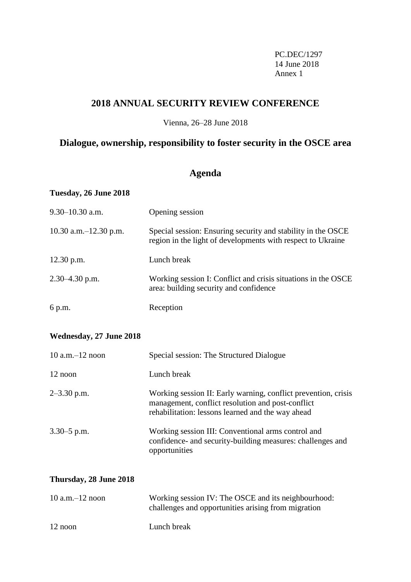PC.DEC/1297 14 June 2018 Annex 1

# **2018 ANNUAL SECURITY REVIEW CONFERENCE**

Vienna, 26–28 June 2018

# **Dialogue, ownership, responsibility to foster security in the OSCE area**

# **Agenda**

| Tuesday, 26 June 2018    |                                                                                                                             |
|--------------------------|-----------------------------------------------------------------------------------------------------------------------------|
| $9.30 - 10.30$ a.m.      | Opening session                                                                                                             |
| 10.30 a.m. $-12.30$ p.m. | Special session: Ensuring security and stability in the OSCE<br>region in the light of developments with respect to Ukraine |
| 12.30 p.m.               | Lunch break                                                                                                                 |
| $2.30 - 4.30$ p.m.       | Working session I: Conflict and crisis situations in the OSCE<br>area: building security and confidence                     |
| 6 p.m.                   | Reception                                                                                                                   |
| Wednesday, 27 June 2018  |                                                                                                                             |
| $10$ a.m. $-12$ noon     | Special session: The Structured Dialogue                                                                                    |
| 12 noon                  | Lunch break                                                                                                                 |

| $2-3.30$ p.m.   | Working session II: Early warning, conflict prevention, crisis<br>management, conflict resolution and post-conflict<br>rehabilitation: lessons learned and the way ahead |
|-----------------|--------------------------------------------------------------------------------------------------------------------------------------------------------------------------|
| $3.30 - 5$ p.m. | Working session III: Conventional arms control and<br>confidence- and security-building measures: challenges and                                                         |

## **Thursday, 28 June 2018**

| $10$ a.m. $-12$ noon | Working session IV: The OSCE and its neighbourhood:<br>challenges and opportunities arising from migration |
|----------------------|------------------------------------------------------------------------------------------------------------|
| 12 noon              | Lunch break                                                                                                |

opportunities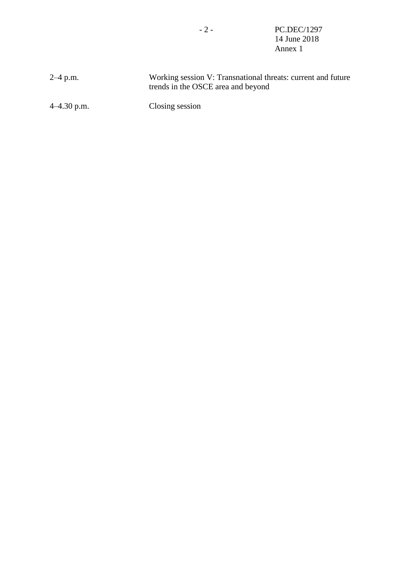- 2 - PC.DEC/1297 14 June 2018 Annex 1

| $2-4$ p.m.    | Working session V: Transnational threats: current and future<br>trends in the OSCE area and beyond |
|---------------|----------------------------------------------------------------------------------------------------|
| $4-4.30$ p.m. | Closing session                                                                                    |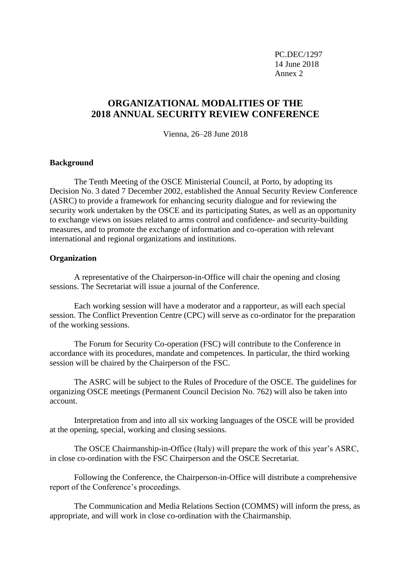PC.DEC/1297 14 June 2018 Annex 2

# **ORGANIZATIONAL MODALITIES OF THE 2018 ANNUAL SECURITY REVIEW CONFERENCE**

Vienna, 26–28 June 2018

## **Background**

The Tenth Meeting of the OSCE Ministerial Council, at Porto, by adopting its Decision No. 3 dated 7 December 2002, established the Annual Security Review Conference (ASRC) to provide a framework for enhancing security dialogue and for reviewing the security work undertaken by the OSCE and its participating States, as well as an opportunity to exchange views on issues related to arms control and confidence- and security-building measures, and to promote the exchange of information and co-operation with relevant international and regional organizations and institutions.

#### **Organization**

A representative of the Chairperson-in-Office will chair the opening and closing sessions. The Secretariat will issue a journal of the Conference.

Each working session will have a moderator and a rapporteur, as will each special session. The Conflict Prevention Centre (CPC) will serve as co-ordinator for the preparation of the working sessions.

The Forum for Security Co-operation (FSC) will contribute to the Conference in accordance with its procedures, mandate and competences. In particular, the third working session will be chaired by the Chairperson of the FSC.

The ASRC will be subject to the Rules of Procedure of the OSCE. The guidelines for organizing OSCE meetings (Permanent Council Decision No. 762) will also be taken into account.

Interpretation from and into all six working languages of the OSCE will be provided at the opening, special, working and closing sessions.

The OSCE Chairmanship-in-Office (Italy) will prepare the work of this year's ASRC, in close co-ordination with the FSC Chairperson and the OSCE Secretariat.

Following the Conference, the Chairperson-in-Office will distribute a comprehensive report of the Conference's proceedings.

The Communication and Media Relations Section (COMMS) will inform the press, as appropriate, and will work in close co-ordination with the Chairmanship.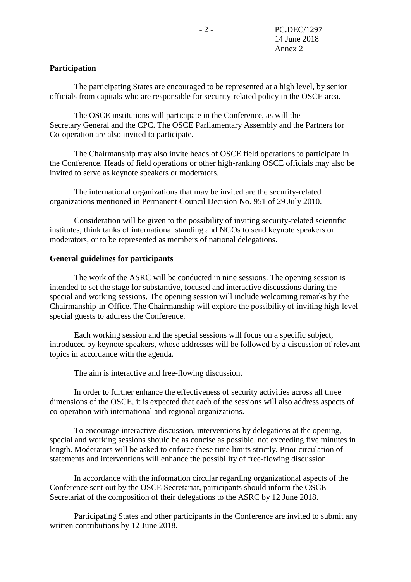## **Participation**

The participating States are encouraged to be represented at a high level, by senior officials from capitals who are responsible for security-related policy in the OSCE area.

The OSCE institutions will participate in the Conference, as will the Secretary General and the CPC. The OSCE Parliamentary Assembly and the Partners for Co-operation are also invited to participate.

The Chairmanship may also invite heads of OSCE field operations to participate in the Conference. Heads of field operations or other high-ranking OSCE officials may also be invited to serve as keynote speakers or moderators.

The international organizations that may be invited are the security-related organizations mentioned in Permanent Council Decision No. 951 of 29 July 2010.

Consideration will be given to the possibility of inviting security-related scientific institutes, think tanks of international standing and NGOs to send keynote speakers or moderators, or to be represented as members of national delegations.

#### **General guidelines for participants**

The work of the ASRC will be conducted in nine sessions. The opening session is intended to set the stage for substantive, focused and interactive discussions during the special and working sessions. The opening session will include welcoming remarks by the Chairmanship-in-Office. The Chairmanship will explore the possibility of inviting high-level special guests to address the Conference.

Each working session and the special sessions will focus on a specific subject, introduced by keynote speakers, whose addresses will be followed by a discussion of relevant topics in accordance with the agenda.

The aim is interactive and free-flowing discussion.

In order to further enhance the effectiveness of security activities across all three dimensions of the OSCE, it is expected that each of the sessions will also address aspects of co-operation with international and regional organizations.

To encourage interactive discussion, interventions by delegations at the opening, special and working sessions should be as concise as possible, not exceeding five minutes in length. Moderators will be asked to enforce these time limits strictly. Prior circulation of statements and interventions will enhance the possibility of free-flowing discussion.

In accordance with the information circular regarding organizational aspects of the Conference sent out by the OSCE Secretariat, participants should inform the OSCE Secretariat of the composition of their delegations to the ASRC by 12 June 2018.

Participating States and other participants in the Conference are invited to submit any written contributions by 12 June 2018.